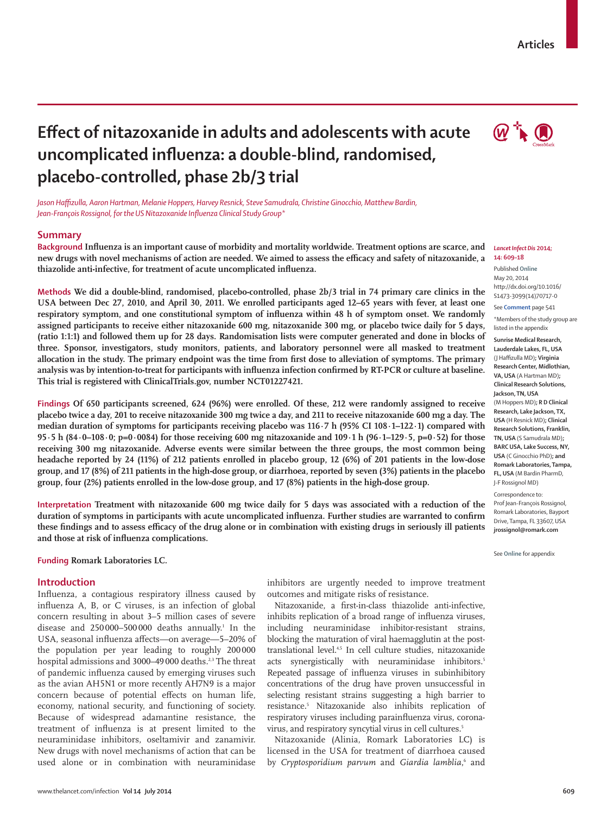# $Q^+$   $\bullet$

## uncomplicated influenza: a double-blind, randomised, **placebo-controlled, phase 2b/3 trial**

**Eff ect of nitazoxanide in adults and adolescents with acute** 

*Jason Haffi zulla, Aaron Hartman, Melanie Hoppers, Harvey Resnick, Steve Samudrala, Christine Ginocchio, Matthew Bardin,*  Jean-François Rossignol, for the US Nitazoxanide Influenza Clinical Study Group\*

#### **Summary**

**Background Influenza is an important cause of morbidity and mortality worldwide. Treatment options are scarce, and** new drugs with novel mechanisms of action are needed. We aimed to assess the efficacy and safety of nitazoxanide, a thiazolide anti-infective, for treatment of acute uncomplicated influenza.

**Methods We did a double-blind, randomised, placebo-controlled, phase 2b/3 trial in 74 primary care clinics in the USA between Dec 27, 2010, and April 30, 2011. We enrolled participants aged 12–65 years with fever, at least one**  respiratory symptom, and one constitutional symptom of influenza within 48 h of symptom onset. We randomly **assigned participants to receive either nitazoxanide 600 mg, nitazoxanide 300 mg, or placebo twice daily for 5 days, (ratio 1:1:1) and followed them up for 28 days. Randomisation lists were computer generated and done in blocks of three. Sponsor, investigators, study monitors, patients, and laboratory personnel were all masked to treatment**  allocation in the study. The primary endpoint was the time from first dose to alleviation of symptoms. The primary analysis was by intention-to-treat for participants with influenza infection confirmed by RT-PCR or culture at baseline. **This trial is registered with ClinicalTrials.gov, number NCT01227421.**

**Findings Of 650 participants screened, 624 (96%) were enrolled. Of these, 212 were randomly assigned to receive placebo twice a day, 201 to receive nitazoxanide 300 mg twice a day, and 211 to receive nitazoxanide 600 mg a day. The median duration of symptoms for participants receiving placebo was 116·7 h (95% CI 108·1–122·1) compared with 95·5 h (84·0–108·0; p=0·0084) for those receiving 600 mg nitazoxanide and 109·1 h (96·1–129·5, p=0·52) for those receiving 300 mg nitazoxanide. Adverse events were similar between the three groups, the most common being headache reported by 24 (11%) of 212 patients enrolled in placebo group, 12 (6%) of 201 patients in the low-dose group, and 17 (8%) of 211 patients in the high-dose group, or diarrhoea, reported by seven (3%) patients in the placebo group, four (2%) patients enrolled in the low-dose group, and 17 (8%) patients in the high-dose group.**

**Interpretation Treatment with nitazoxanide 600 mg twice daily for 5 days was associated with a reduction of the**  duration of symptoms in participants with acute uncomplicated influenza. Further studies are warranted to confirm these findings and to assess efficacy of the drug alone or in combination with existing drugs in seriously ill patients and those at risk of influenza complications.

**Funding Romark Laboratories LC.**

#### **Introduction**

Influenza, a contagious respiratory illness caused by influenza A, B, or C viruses, is an infection of global concern resulting in about 3–5 million cases of severe disease and 250 000–500 000 deaths annually.1 In the USA, seasonal influenza affects-on average-5-20% of the population per year leading to roughly 200 000 hospital admissions and 3000-49 000 deaths.<sup>2,3</sup> The threat of pandemic influenza caused by emerging viruses such as the avian AH5N1 or more recently AH7N9 is a major concern because of potential effects on human life, economy, national security, and functioning of society. Because of widespread adamantine resistance, the treatment of influenza is at present limited to the neuraminidase inhibitors, oseltamivir and zanamivir. New drugs with novel mechanisms of action that can be used alone or in combination with neuraminidase

inhibitors are urgently needed to improve treatment outcomes and mitigate risks of resistance.

Nitazoxanide, a first-in-class thiazolide anti-infective, inhibits replication of a broad range of influenza viruses, including neuraminidase inhibitor-resistant strains, blocking the maturation of viral haemagglutin at the posttranslational level.<sup>4,5</sup> In cell culture studies, nitazoxanide acts synergistically with neuraminidase inhibitors.<sup>5</sup> Repeated passage of influenza viruses in subinhibitory concentrations of the drug have proven unsuccessful in selecting resistant strains suggesting a high barrier to resistance.5 Nitazoxanide also inhibits replication of respiratory viruses including parainfluenza virus, coronavirus, and respiratory syncytial virus in cell cultures.<sup>5</sup>

Nitazoxanide (Alinia, Romark Laboratories LC) is licensed in the USA for treatment of diarrhoea caused by Cryptosporidium parvum and Giardia lamblia,<sup>6</sup> and



Published **Online** May 20, 2014 http://dx.doi.org/10.1016/ S1473-3099(14)70717-0

See **Comment** page 541

\*Members of the study group are listed in the appendix

**Sunrise Medical Research, Lauderdale Lakes, FL, USA** (J Haffi zulla MD)**; Virginia Research Center, Midlothian, VA, USA** (A Hartman MD)**; Clinical Research Solutions, Jackson, TN, USA**  (M Hoppers MD)**; R D Clinical Research, Lake Jackson, TX, USA** (H Resnick MD)**; Clinical Research Solutions, Franklin, TN, USA** (S Samudrala MD)**; BARC USA, Lake Success, NY, USA** (C Ginocchio PhD)**; and Romark Laboratories, Tampa, FL, USA** (M Bardin PharmD, J-F Rossignol MD)

Correspondence to:

Prof Jean-François Rossignol, Romark Laboratories, Bayport Drive, Tampa, FL 33607, USA **jrossignol@romark.com**

See **Online** for appendix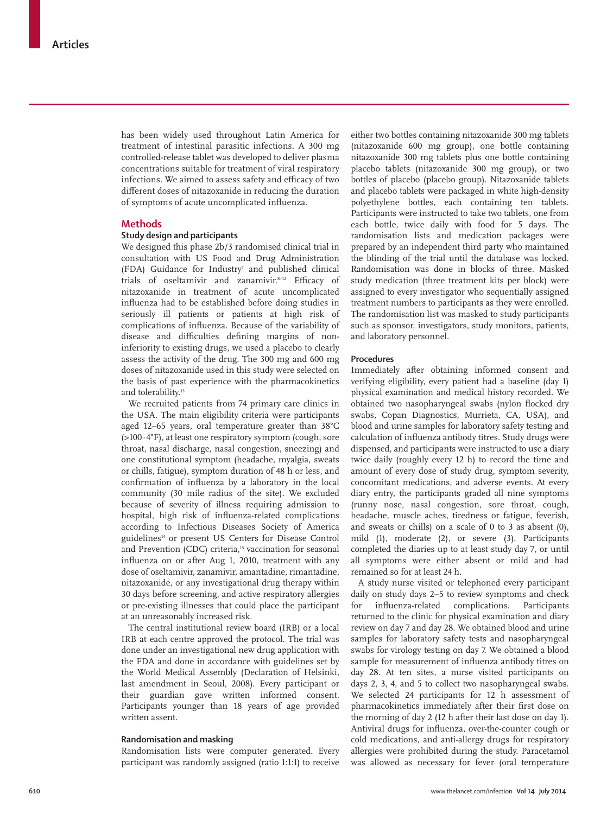has been widely used throughout Latin America for treatment of intestinal parasitic infections. A 300 mg controlled-release tablet was developed to deliver plasma con centrations suitable for treatment of viral respiratory infections. We aimed to assess safety and efficacy of two different doses of nitazoxanide in reducing the duration of symptoms of acute uncomplicated influenza.

### **Methods**

#### **Study design and participants**

We designed this phase 2b/3 randomised clinical trial in consultation with US Food and Drug Administration (FDA) Guidance for Industry7 and published clinical trials of oseltamivir and zanamivir.<sup>8-12</sup> Efficacy of nitazoxanide in treatment of acute uncomplicated influenza had to be established before doing studies in seriously ill patients or patients at high risk of complications of influenza. Because of the variability of disease and difficulties defining margins of noninferiority to existing drugs, we used a placebo to clearly assess the activity of the drug. The 300 mg and 600 mg doses of nitazoxanide used in this study were selected on the basis of past experience with the pharmacokinetics and tolerability.<sup>13</sup>

We recruited patients from 74 primary care clinics in the USA. The main eligibility criteria were participants aged 12–65 years, oral temperature greater than 38°C (>100·4°F), at least one respiratory symptom (cough, sore throat, nasal discharge, nasal congestion, sneezing) and one constitutional symptom (headache, myalgia, sweats or chills, fatigue), symptom duration of 48 h or less, and confirmation of influenza by a laboratory in the local community (30 mile radius of the site). We excluded because of severity of illness requiring admission to hospital, high risk of influenza-related complications according to Infectious Diseases Society of America guidelines14 or present US Centers for Disease Control and Prevention (CDC) criteria,<sup>15</sup> vaccination for seasonal influenza on or after Aug 1, 2010, treatment with any dose of oseltamivir, zanamivir, amantadine, rimantadine, nitazoxanide, or any investigational drug therapy within 30 days before screening, and active respiratory allergies or pre-existing illnesses that could place the participant at an unreasonably increased risk.

The central institutional review board (IRB) or a local IRB at each centre approved the protocol. The trial was done under an investigational new drug application with the FDA and done in accordance with guidelines set by the World Medical Assembly (Declaration of Helsinki, last amendment in Seoul, 2008). Every participant or their guardian gave written informed consent. Participants younger than 18 years of age provided written assent.

#### **Randomisation and masking**

Randomisation lists were computer generated. Every participant was randomly assigned (ratio 1:1:1) to receive either two bottles containing nitazoxanide 300 mg tablets (nitazoxanide 600 mg group), one bottle containing nitazoxanide 300 mg tablets plus one bottle containing placebo tablets (nitazoxanide 300 mg group), or two bottles of placebo (placebo group). Nitazoxanide tablets and placebo tablets were packaged in white high-density polyethylene bottles, each containing ten tablets. Participants were instructed to take two tablets, one from each bottle, twice daily with food for 5 days. The randomisation lists and medication packages were prepared by an independent third party who maintained the blinding of the trial until the database was locked. Randomisation was done in blocks of three. Masked study medication (three treatment kits per block) were assigned to every investigator who sequentially assigned treatment numbers to participants as they were enrolled. The randomisation list was masked to study participants such as sponsor, investigators, study monitors, patients, and laboratory personnel.

#### **Procedures**

Immediately after obtaining informed consent and verifying eligibility, every patient had a baseline (day 1) physical examination and medical history recorded. We obtained two nasopharyngeal swabs (nylon flocked dry swabs, Copan Diagnostics, Murrieta, CA, USA), and blood and urine samples for laboratory safety testing and calculation of influenza antibody titres. Study drugs were dispensed, and participants were instructed to use a diary twice daily (roughly every 12 h) to record the time and amount of every dose of study drug, symptom severity, concomitant medications, and adverse events. At every diary entry, the participants graded all nine symptoms (runny nose, nasal congestion, sore throat, cough, headache, muscle aches, tiredness or fatigue, feverish, and sweats or chills) on a scale of 0 to 3 as absent (0), mild (1), moderate (2), or severe (3). Participants completed the diaries up to at least study day 7, or until all symptoms were either absent or mild and had remained so for at least 24 h.

A study nurse visited or telephoned every participant daily on study days 2–5 to review symptoms and check for influenza-related complications. Participants returned to the clinic for physical examination and diary review on day 7 and day 28. We obtained blood and urine samples for laboratory safety tests and nasopharyngeal swabs for virology testing on day 7. We obtained a blood sample for measurement of influenza antibody titres on day 28. At ten sites, a nurse visited participants on days 2, 3, 4, and 5 to collect two nasopharyngeal swabs. We selected 24 participants for 12 h assessment of pharmacokinetics immediately after their first dose on the morning of day 2 (12 h after their last dose on day 1). Antiviral drugs for influenza, over-the-counter cough or cold medications, and anti-allergy drugs for respiratory allergies were prohibited during the study. Paracetamol was allowed as necessary for fever (oral temperature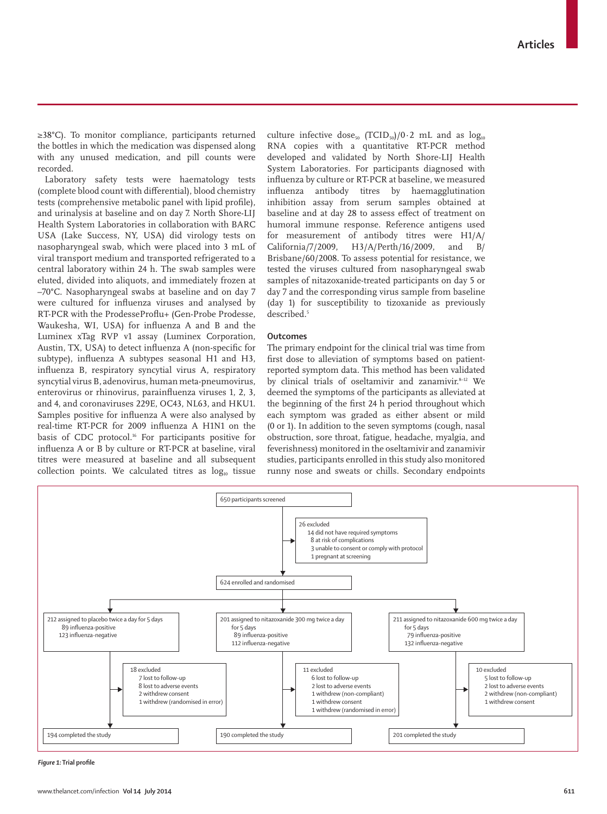≥38°C). To monitor compliance, participants returned the bottles in which the medication was dispensed along with any unused medication, and pill counts were recorded.

Laboratory safety tests were haematology tests (complete blood count with differential), blood chemistry tests (comprehensive metabolic panel with lipid profile), and urinalysis at baseline and on day 7. North Shore-LIJ Health System Laboratories in collaboration with BARC USA (Lake Success, NY, USA) did virology tests on nasopharyngeal swab, which were placed into 3 mL of viral transport medium and transported refrigerated to a central laboratory within 24 h. The swab samples were eluted, divided into aliquots, and immediately frozen at -70°C. Nasopharyngeal swabs at baseline and on day 7 were cultured for influenza viruses and analysed by RT-PCR with the ProdesseProflu+ (Gen-Probe Prodesse, Waukesha, WI, USA) for influenza A and B and the Luminex xTag RVP v1 assay (Luminex Corporation, Austin, TX, USA) to detect influenza A (non-specific for subtype), influenza A subtypes seasonal H1 and H3, influenza B, respiratory syncytial virus A, respiratory syncytial virus B, adenovirus, human meta-pneumovirus, enterovirus or rhinovirus, parainfluenza viruses 1, 2, 3, and 4, and coronaviruses 229E, OC43, NL63, and HKU1. Samples positive for influenza A were also analysed by real-time RT-PCR for 2009 influenza A H1N1 on the basis of CDC protocol.16 For participants positive for influenza A or B by culture or RT-PCR at baseline, viral titres were measured at baseline and all subsequent collection points. We calculated titres as  $log_{10}$  tissue culture infective dose<sub>50</sub> (TCID<sub>50</sub>)/0·2 mL and as  $log_{10}$ RNA copies with a quantitative RT-PCR method developed and validated by North Shore-LIJ Health System Laboratories. For participants diagnosed with influenza by culture or RT-PCR at baseline, we measured influenza antibody titres by haemagglutination inhibition assay from serum samples obtained at baseline and at day 28 to assess effect of treatment on humoral immune response. Reference antigens used for measurement of antibody titres were H1/A/ California/7/2009, H3/A/Perth/16/2009, and B/ Brisbane/60/2008. To assess potential for resistance, we tested the viruses cultured from nasopharyngeal swab samples of nitazoxanide-treated participants on day 5 or day 7 and the corresponding virus sample from baseline (day 1) for susceptibility to tizoxanide as previously described.5

#### **Outcomes**

The primary endpoint for the clinical trial was time from first dose to alleviation of symptoms based on patientreported symptom data. This method has been validated by clinical trials of oseltamivir and zanamivir.<sup>8-12</sup> We deemed the symptoms of the participants as alleviated at the beginning of the first 24 h period throughout which each symptom was graded as either absent or mild (0 or 1). In addition to the seven symptoms (cough, nasal obstruction, sore throat, fatigue, headache, myalgia, and feverishness) monitored in the oseltamivir and zanamivir studies, participants enrolled in this study also monitored runny nose and sweats or chills. Secondary endpoints



**Figure 1:** Trial profile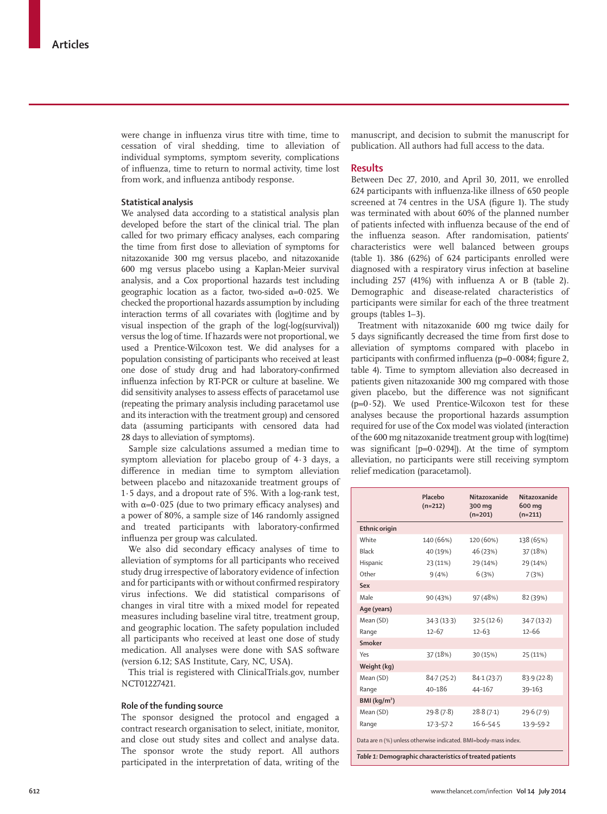were change in influenza virus titre with time, time to cessation of viral shedding, time to alleviation of individual symptoms, symptom severity, complications of influenza, time to return to normal activity, time lost from work, and influenza antibody response.

#### **Statistical analysis**

We analysed data according to a statistical analysis plan developed before the start of the clinical trial. The plan called for two primary efficacy analyses, each comparing the time from first dose to alleviation of symptoms for nitazoxanide 300 mg versus placebo, and nitazoxanide 600 mg versus placebo using a Kaplan-Meier survival analysis, and a Cox proportional hazards test including geographic location as a factor, two-sided  $α=0.025$ . We checked the proportional hazards assumption by including interaction terms of all covariates with (log)time and by visual inspection of the graph of the log(-log(survival)) versus the log of time. If hazards were not proportional, we used a Prentice-Wilcoxon test. We did analyses for a population consisting of participants who received at least one dose of study drug and had laboratory-confirmed influenza infection by RT-PCR or culture at baseline. We did sensitivity analyses to assess effects of paracetamol use (repeating the primary analysis including paracetamol use and its interaction with the treatment group) and censored data (assuming participants with censored data had 28 days to alleviation of symptoms).

Sample size calculations assumed a median time to symptom alleviation for placebo group of 4·3 days, a difference in median time to symptom alleviation between placebo and nitazoxanide treatment groups of 1·5 days, and a dropout rate of 5%. With a log-rank test, with  $\alpha = 0.025$  (due to two primary efficacy analyses) and a power of 80%, a sample size of 146 randomly assigned and treated participants with laboratory-confirmed influenza per group was calculated.

We also did secondary efficacy analyses of time to alleviation of symptoms for all participants who received study drug irrespective of laboratory evidence of infection and for participants with or without confirmed respiratory virus infections. We did statistical comparisons of changes in viral titre with a mixed model for repeated measures including baseline viral titre, treatment group, and geographic location. The safety population included all participants who received at least one dose of study medication. All analyses were done with SAS software (version 6.12; SAS Institute, Cary, NC, USA).

This trial is registered with ClinicalTrials.gov, number NCT01227421.

#### **Role of the funding source**

The sponsor designed the protocol and engaged a contract research organisation to select, initiate, monitor, and close out study sites and collect and analyse data. The sponsor wrote the study report. All authors participated in the interpretation of data, writing of the manuscript, and decision to submit the manuscript for publication. All authors had full access to the data.

#### **Results**

Between Dec 27, 2010, and April 30, 2011, we enrolled 624 participants with influenza-like illness of 650 people screened at 74 centres in the USA (figure 1). The study was terminated with about 60% of the planned number of patients infected with influenza because of the end of the influenza season. After randomisation, patients' characteristics were well balanced between groups (table 1). 386 (62%) of 624 participants enrolled were diagnosed with a respiratory virus infection at baseline including  $257$  (41%) with influenza A or B (table 2). Demographic and disease-related characteristics of participants were similar for each of the three treatment groups (tables 1–3).

Treatment with nitazoxanide 600 mg twice daily for 5 days significantly decreased the time from first dose to alleviation of symptoms compared with placebo in participants with confirmed influenza ( $p=0.0084$ ; figure 2, table 4). Time to symptom alleviation also decreased in patients given nitazoxanide 300 mg compared with those given placebo, but the difference was not significant  $(p=0.52)$ . We used Prentice-Wilcoxon test for these analyses because the proportional hazards assumption required for use of the Cox model was violated (interaction of the 600 mg nitazoxanide treatment group with log(time) was significant  $[p=0.0294]$ ). At the time of symptom alleviation, no participants were still receiving symptom relief medication (paracetamol).

|                                                                 | Placebo<br>$(n=212)$ | Nitazoxanide<br>300 mg<br>$(n=201)$ | Nitazoxanide<br>600 mg<br>$(n=211)$ |  |  |
|-----------------------------------------------------------------|----------------------|-------------------------------------|-------------------------------------|--|--|
| Ethnic origin                                                   |                      |                                     |                                     |  |  |
| White                                                           | 140 (66%)            | 120 (60%)                           | 138 (65%)                           |  |  |
| Black                                                           | 40 (19%)             | 46 (23%)                            | 37 (18%)                            |  |  |
| Hispanic                                                        | 23(11%)              | 29 (14%)                            | 29 (14%)                            |  |  |
| Other                                                           | 9(4%)                | 6(3%)                               | 7(3%)                               |  |  |
| Sex                                                             |                      |                                     |                                     |  |  |
| Male                                                            | 90 (43%)             | 97 (48%)                            | 82 (39%)                            |  |  |
| Age (years)                                                     |                      |                                     |                                     |  |  |
| Mean (SD)                                                       | 34.3(13.3)           | 32.5(12.6)                          | 34.7(13.2)                          |  |  |
| Range                                                           | $12 - 67$            | $12 - 63$                           | $12 - 66$                           |  |  |
| Smoker                                                          |                      |                                     |                                     |  |  |
| Yes                                                             | 37 (18%)             | 30 (15%)                            | 25 (11%)                            |  |  |
| Weight (kg)                                                     |                      |                                     |                                     |  |  |
| Mean (SD)                                                       | 84.7(25.2)           | 84.1(23.7)                          | 83.9(22.8)                          |  |  |
| Range                                                           | 40-186               | 44-167                              | 39-163                              |  |  |
| $BMl$ (kg/m <sup>2</sup> )                                      |                      |                                     |                                     |  |  |
| Mean (SD)                                                       | 29.8(7.8)            | 28.8(7.1)                           | 29.6(7.9)                           |  |  |
| Range                                                           | $17.3 - 57.2$        | $16.6 - 54.5$                       | $13.9 - 59.2$                       |  |  |
| Data are n (%) unless otherwise indicated. BMI=body-mass index. |                      |                                     |                                     |  |  |

*Table 1:* **Demographic characteristics of treated patients**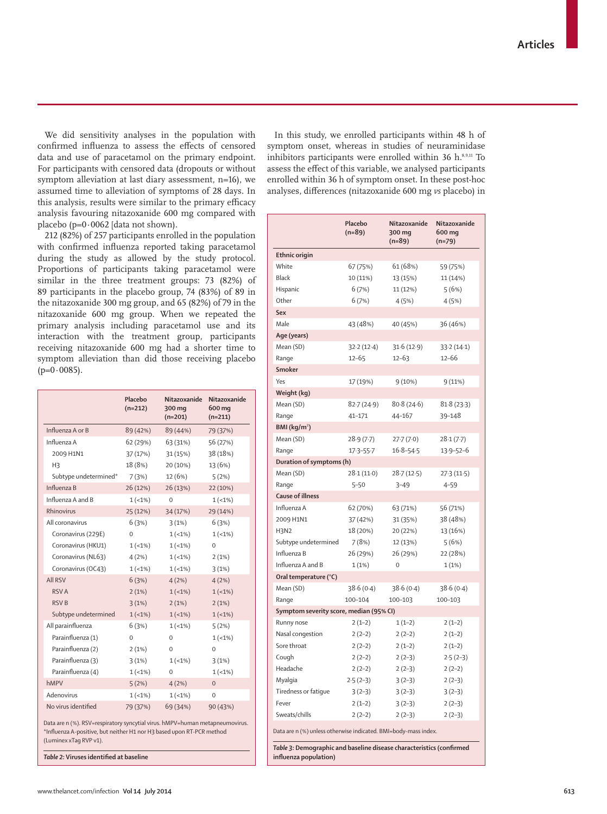We did sensitivity analyses in the population with confirmed influenza to assess the effects of censored data and use of paracetamol on the primary endpoint. For participants with censored data (dropouts or without symptom alleviation at last diary assessment, n=16), we assumed time to alleviation of symptoms of 28 days. In this analysis, results were similar to the primary efficacy analysis favouring nitazoxanide 600 mg compared with placebo (p=0·0062 [data not shown).

212 (82%) of 257 participants enrolled in the population with confirmed influenza reported taking paracetamol during the study as allowed by the study protocol. Proportions of participants taking paracetamol were similar in the three treatment groups: 73 (82%) of 89 participants in the placebo group, 74 (83%) of 89 in the nitazoxanide 300 mg group, and 65 (82%) of 79 in the nitazoxanide 600 mg group. When we repeated the primary analysis including paracetamol use and its interaction with the treatment group, participants receiving nitazoxanide 600 mg had a shorter time to symptom alleviation than did those receiving placebo  $(p=0.0085)$ .

|                       | Placebo<br>$(n=212)$ | Nitazoxanide<br>300 mg<br>$(n=201)$ | Nitazoxanide<br>600 mg<br>$(n=211)$ |
|-----------------------|----------------------|-------------------------------------|-------------------------------------|
| Influenza A or B      | 89 (42%)             | 89 (44%)                            | 79 (37%)                            |
| Influenza A           | 62 (29%)             | 63 (31%)                            | 56 (27%)                            |
| 2009 H1N1             | 37 (17%)             | 31 (15%)                            | 38 (18%)                            |
| H3                    | 18 (8%)              | 20 (10%)                            | 13 (6%)                             |
| Subtype undetermined* | 7(3%)                | 12 (6%)                             | 5(2%)                               |
| Influenza B           | 26(12%)              | 26 (13%)                            | 22 (10%)                            |
| Influenza A and B     | $1(-1%)$             | $\Omega$                            | $1(-1%)$                            |
| Rhinovirus            | 25 (12%)             | 34 (17%)                            | 29 (14%)                            |
| All coronavirus       | 6(3%)                | 3(1%)                               | 6(3%)                               |
| Coronavirus (229E)    | $\Omega$             | $1(-1%)$                            | $1(-1%)$                            |
| Coronavirus (HKU1)    | $1(-1%)$             | $1(-1%)$                            | 0                                   |
| Coronavirus (NL63)    | 4(2%)                | $1(-1%)$                            | 2(1%)                               |
| Coronavirus (OC43)    | $1(-1%)$             | $1(-1%)$                            | 3(1%)                               |
| <b>All RSV</b>        | 6(3%)                | 4(2%)                               | 4(2%)                               |
| <b>RSVA</b>           | 2(1%)                | $1(-1%)$                            | $1(-1%)$                            |
| <b>RSVB</b>           | 3(1%)                | 2(1%)                               | 2(1%)                               |
| Subtype undetermined  | $1(-1%)$             | $1(-1%)$                            | $1(-1%)$                            |
| All parainfluenza     | 6(3%)                | $1(-1%)$                            | 5(2%)                               |
| Parainfluenza (1)     | $\Omega$             | $\Omega$                            | $1(-1%)$                            |
| Parainfluenza (2)     | 2(1%)                | $\Omega$                            | $\Omega$                            |
| Parainfluenza (3)     | 3(1%)                | $1(-1%)$                            | 3(1%)                               |
| Parainfluenza (4)     | $1(-1%)$             | $\mathbf 0$                         | $1(-1%)$                            |
| hMPV                  | 5(2%)                | 4(2%)                               | $\mathbf{0}$                        |
| Adenovirus            | $1(1\%)$             | $1(-1%)$                            | 0                                   |
| No virus identified   | 79 (37%)             | 69 (34%)                            | 90 (43%)                            |

Data are n (%). RSV=respiratory syncytial virus. hMPV=human metapneumovirus. \*Influenza A-positive, but neither H1 nor H3 based upon RT-PCR method (Luminex xTag RVP v1).

**Table 2: Viruses identified at baseline** 

In this study, we enrolled participants within 48 h of symptom onset, whereas in studies of neuraminidase inhibitors participants were enrolled within 36 h.<sup>8,9,11</sup> To assess the effect of this variable, we analysed participants enrolled within 36 h of symptom onset. In these post-hoc analyses, differences (nitazoxanide 600 mg *vs* placebo) in

| Ethnic origin<br>White<br>Black                                                                                                         | 67 (75%)       |               |                 |  |  |  |  |  |  |
|-----------------------------------------------------------------------------------------------------------------------------------------|----------------|---------------|-----------------|--|--|--|--|--|--|
|                                                                                                                                         |                |               |                 |  |  |  |  |  |  |
|                                                                                                                                         |                | 61 (68%)      | 59 (75%)        |  |  |  |  |  |  |
|                                                                                                                                         | 10 (11%)       | 13 (15%)      | 11 (14%)        |  |  |  |  |  |  |
| Hispanic                                                                                                                                | 6(7%)          | 11 (12%)      | 5(6%)           |  |  |  |  |  |  |
| Other                                                                                                                                   | 6(7%)          | 4(5%)         | 4(5%)           |  |  |  |  |  |  |
| Sex                                                                                                                                     |                |               |                 |  |  |  |  |  |  |
| Male                                                                                                                                    | 43 (48%)       | 40 (45%)      | 36 (46%)        |  |  |  |  |  |  |
| Age (years)                                                                                                                             |                |               |                 |  |  |  |  |  |  |
| Mean (SD)                                                                                                                               | 32.2(12.4)     | 31.6(12.9)    | 33.2(14.1)      |  |  |  |  |  |  |
| Range                                                                                                                                   | $12 - 65$      | $12 - 63$     | $12 - 66$       |  |  |  |  |  |  |
| Smoker                                                                                                                                  |                |               |                 |  |  |  |  |  |  |
| Yes                                                                                                                                     | 17 (19%)       | 9(10%)        | 9(11%)          |  |  |  |  |  |  |
| Weight (kg)                                                                                                                             |                |               |                 |  |  |  |  |  |  |
| Mean (SD)                                                                                                                               | $82 - 7(24-9)$ | 80.8(24.6)    | 81.8(23.3)      |  |  |  |  |  |  |
| Range                                                                                                                                   | 41-171         | 44-167        | 39-148          |  |  |  |  |  |  |
| BMI ( $kg/m2$ )                                                                                                                         |                |               |                 |  |  |  |  |  |  |
| Mean (SD)                                                                                                                               | 28.9(7.7)      | 27.7(7.0)     | 28.1(7.7)       |  |  |  |  |  |  |
| Range                                                                                                                                   | $17.3 - 55.7$  | $16.8 - 54.5$ | $13.9 - 52 - 6$ |  |  |  |  |  |  |
| Duration of symptoms (h)                                                                                                                |                |               |                 |  |  |  |  |  |  |
| Mean (SD)                                                                                                                               | 28.1(11.0)     | 28.7(12.5)    | 27.3(11.5)      |  |  |  |  |  |  |
| Range                                                                                                                                   | $5 - 50$       | $3 - 49$      | $4 - 59$        |  |  |  |  |  |  |
| <b>Cause of illness</b>                                                                                                                 |                |               |                 |  |  |  |  |  |  |
| Influenza A                                                                                                                             | 62 (70%)       | 63 (71%)      | 56 (71%)        |  |  |  |  |  |  |
| 2009 H1N1                                                                                                                               | 37 (42%)       | 31 (35%)      | 38 (48%)        |  |  |  |  |  |  |
| H3N2                                                                                                                                    | 18 (20%)       | 20 (22%)      | 13 (16%)        |  |  |  |  |  |  |
| Subtype undetermined                                                                                                                    | 7 (8%)         | 12 (13%)      | 5(6%)           |  |  |  |  |  |  |
| Influenza B                                                                                                                             | 26 (29%)       | 26 (29%)      | 22 (28%)        |  |  |  |  |  |  |
| Influenza A and B                                                                                                                       | 1(1%)          | 0             | 1(1%)           |  |  |  |  |  |  |
| Oral temperature (°C)                                                                                                                   |                |               |                 |  |  |  |  |  |  |
| Mean (SD)                                                                                                                               | 38.6(0.4)      | 38.6(0.4)     | 38.6(0.4)       |  |  |  |  |  |  |
| Range                                                                                                                                   | 100-104        | 100-103       | 100-103         |  |  |  |  |  |  |
| Symptom severity score, median (95% CI)                                                                                                 |                |               |                 |  |  |  |  |  |  |
| Runny nose                                                                                                                              | $2(1-2)$       | $1(1-2)$      | $2(1-2)$        |  |  |  |  |  |  |
| Nasal congestion                                                                                                                        | $2(2-2)$       | $2(2-2)$      | $2(1-2)$        |  |  |  |  |  |  |
| Sore throat                                                                                                                             | $2(2-2)$       | $2(1-2)$      | $2(1-2)$        |  |  |  |  |  |  |
| Cough                                                                                                                                   | $2(2-2)$       | $2(2-3)$      | $2.5(2-3)$      |  |  |  |  |  |  |
| Headache                                                                                                                                | $2(2-2)$       | $2(2-3)$      | $2(2-2)$        |  |  |  |  |  |  |
| Myalqia                                                                                                                                 | $2.5(2-3)$     | $3(2-3)$      | $2(2-3)$        |  |  |  |  |  |  |
| Tiredness or fatique                                                                                                                    | $3(2-3)$       | $3(2-3)$      | $3(2-3)$        |  |  |  |  |  |  |
| Fever                                                                                                                                   | $2(1-2)$       | $3(2-3)$      | $2(2-3)$        |  |  |  |  |  |  |
| Sweats/chills                                                                                                                           | $2(2-2)$       | $2(2-3)$      | $2(2-3)$        |  |  |  |  |  |  |
| Data are n (%) unless otherwise indicated. BMI=body-mass index.<br>Table 3: Demographic and baseline disease characteristics (confirmed |                |               |                 |  |  |  |  |  |  |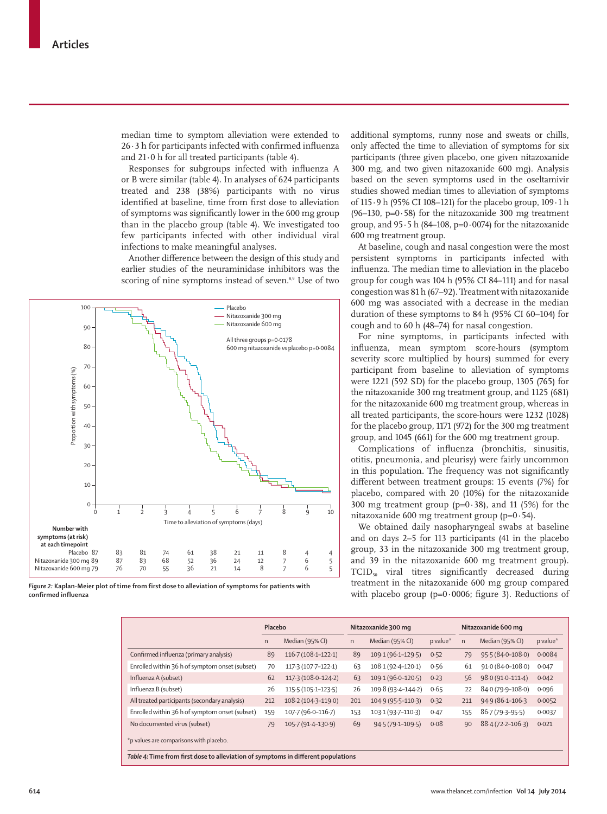median time to symptom alleviation were extended to  $26·3$  h for participants infected with confirmed influenza and 21·0 h for all treated participants (table 4).

Responses for subgroups infected with influenza A or B were similar (table 4). In analyses of 624 participants treated and 238 (38%) participants with no virus identified at baseline, time from first dose to alleviation of symptoms was significantly lower in the 600 mg group than in the placebo group (table 4). We investigated too few participants infected with other individual viral infections to make meaningful analyses.

Another difference between the design of this study and earlier studies of the neuraminidase inhibitors was the scoring of nine symptoms instead of seven.8,9 Use of two



*Figure 2:* **Kaplan-Meier plot of time from first dose to alleviation of symptoms for patients with confirmed influenza**

additional symptoms, runny nose and sweats or chills, only affected the time to alleviation of symptoms for six participants (three given placebo, one given nitazoxanide 300 mg, and two given nitazoxanide 600 mg). Analysis based on the seven symptoms used in the oseltamivir studies showed median times to alleviation of symptoms of 115·9 h (95% CI 108–121) for the placebo group, 109·1 h (96–130,  $p=0.58$ ) for the nitazoxanide 300 mg treatment group, and  $95·5 h$  (84–108, p=0 $·0074$ ) for the nitazoxanide 600 mg treatment group.

At baseline, cough and nasal congestion were the most persistent symptoms in participants infected with influenza. The median time to alleviation in the placebo group for cough was 104 h (95% CI 84–111) and for nasal congestion was 81 h (67–92). Treatment with nitazoxanide 600 mg was associated with a decrease in the median duration of these symptoms to 84 h (95% CI 60–104) for cough and to 60 h (48–74) for nasal congestion.

For nine symptoms, in participants infected with influenza, mean symptom score-hours (symptom severity score multiplied by hours) summed for every participant from baseline to alleviation of symptoms were 1221 (592 SD) for the placebo group, 1305 (765) for the nitazoxanide 300 mg treatment group, and 1125 (681) for the nitazoxanide 600 mg treatment group, whereas in all treated participants, the score-hours were 1232 (1028) for the placebo group, 1171 (972) for the 300 mg treatment group, and 1045 (661) for the 600 mg treatment group.

Complications of influenza (bronchitis, sinusitis, otitis, pneumonia, and pleurisy) were fairly uncommon in this population. The frequency was not significantly different between treatment groups: 15 events (7%) for placebo, compared with 20 (10%) for the nitazoxanide 300 mg treatment group ( $p=0.38$ ), and 11 (5%) for the nitazoxanide 600 mg treatment group (p=0·54).

We obtained daily nasopharyngeal swabs at baseline and on days 2–5 for 113 participants (41 in the placebo group, 33 in the nitazoxanide 300 mg treatment group, and 39 in the nitazoxanide 600 mg treatment group).  $TCID<sub>50</sub>$  viral titres significantly decreased during treatment in the nitazoxanide 600 mg group compared with placebo group ( $p=0.0006$ ; figure 3). Reductions of

|                                                | Placebo      |                     |     | Nitazoxanide 300 mg   |               | Nitazoxanide 600 mg |                           |          |
|------------------------------------------------|--------------|---------------------|-----|-----------------------|---------------|---------------------|---------------------------|----------|
|                                                | $\mathsf{n}$ | Median (95% CI)     | n   | Median (95% CI)       | $p$ value $*$ | $\mathsf{n}$        | Median (95% CI)           | p value* |
| Confirmed influenza (primary analysis)         | 89           | 116.7 (108.1-122.1) | 89  | 109.1 (96.1-129.5)    | 0.52          | 79                  | $95.5(84.0 - 108.0)$      | 0.0084   |
| Enrolled within 36 h of symptom onset (subset) | 70           | 117-3 (107-7-122-1) | 63  | 108.1 (92.4-120.1)    | 0.56          | 61                  | $91.0(84.0 - 108.0)$      | 0.047    |
| Influenza A (subset)                           | 62           | 117.3 (108.0-124.2) | 63  | $109.1(96.0 - 120.5)$ | 0.23          | 56                  | $98.0(91.0 - 111.4)$      | 0.042    |
| Influenza B (subset)                           | 26           | 115.5 (105.1-123.5) | 26  | 109.8 (93.4-144.2)    | 0.65          | 22                  | 84.0 (79.9-108.0)         | 0.096    |
| All treated participants (secondary analysis)  | 212          | 108.2 (104.3-119.0) | 201 | 104.9 (95.5-110.3)    | 0.32          | 211                 | $94.9(86.1 - 106.3)$      | 0.0052   |
| Enrolled within 36 h of symptom onset (subset) | 159          | 1077 (96.0-116.7)   | 153 | 103.1 (93.7-110.3)    | 0.47          | 155                 | $86 - 7(79 - 3 - 95 - 5)$ | 0.0037   |
| No documented virus (subset)                   | 79           | 105.7 (91.4-130.9)  | 69  | 94.5 (79.1-109.5)     | 0.08          | 90                  | $88.4(72.2 - 106.3)$      | 0.021    |
| *p values are comparisons with placebo.        |              |                     |     |                       |               |                     |                           |          |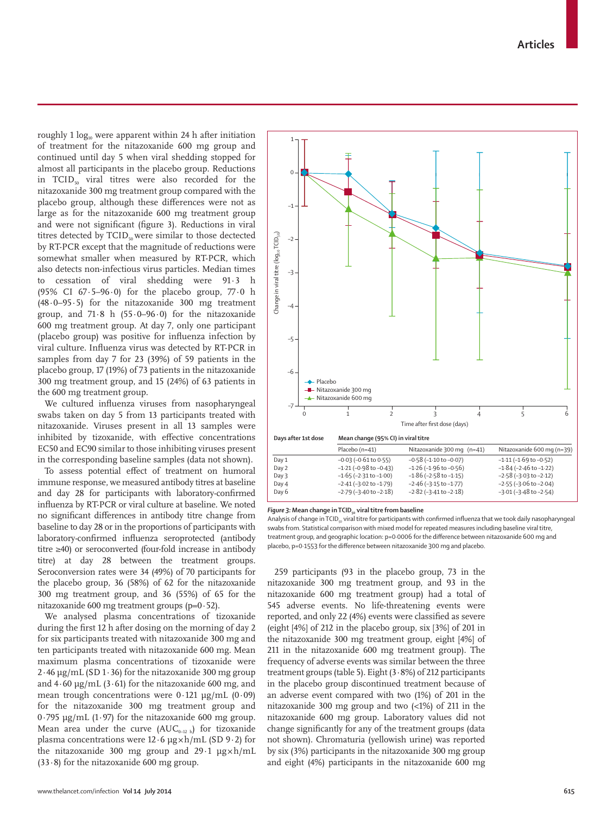roughly 1  $log_{10}$  were apparent within 24 h after initiation of treatment for the nitazoxanide 600 mg group and continued until day 5 when viral shedding stopped for almost all participants in the placebo group. Reductions in  $TCID_{50}$  viral titres were also recorded for the nitazoxanide 300 mg treatment group compared with the placebo group, although these differences were not as large as for the nitazoxanide 600 mg treatment group and were not significant (figure 3). Reductions in viral titres detected by  $TCID<sub>50</sub>$  were similar to those dectected by RT-PCR except that the magnitude of reductions were somewhat smaller when measured by RT-PCR, which also detects non-infectious virus particles. Median times to cessation of viral shedding were 91·3 h (95% CI 67·5–96·0) for the placebo group, 77·0 h (48·0–95·5) for the nitazoxanide 300 mg treatment group, and 71·8 h (55·0–96·0) for the nitazoxanide 600 mg treatment group. At day 7, only one participant (placebo group) was positive for influenza infection by viral culture. Influenza virus was detected by RT-PCR in samples from day 7 for 23 (39%) of 59 patients in the placebo group, 17 (19%) of 73 patients in the nitazoxanide 300 mg treatment group, and 15 (24%) of 63 patients in the 600 mg treatment group.

We cultured influenza viruses from nasopharyngeal swabs taken on day 5 from 13 participants treated with nitazoxanide. Viruses present in all 13 samples were inhibited by tizoxanide, with effective concentrations EC50 and EC90 similar to those inhibiting viruses present in the corresponding baseline samples (data not shown).

To assess potential effect of treatment on humoral immune response, we measured antibody titres at baseline and day 28 for participants with laboratory-confirmed influenza by RT-PCR or viral culture at baseline. We noted no significant differences in antibody titre change from baseline to day 28 or in the proportions of participants with laboratory-confirmed influenza seroprotected (antibody titre ≥40) or seroconverted (four-fold increase in antibody titre) at day 28 between the treatment groups. Seroconversion rates were 34 (49%) of 70 participants for the placebo group, 36 (58%) of 62 for the nitazoxanide 300 mg treatment group, and 36 (55%) of 65 for the nitazoxanide 600 mg treatment groups (p=0·52).

We analysed plasma concentrations of tizoxanide during the first 12 h after dosing on the morning of day 2 for six participants treated with nitazoxanide 300 mg and ten participants treated with nitazoxanide 600 mg. Mean maximum plasma concentrations of tizoxanide were 2·46 μg/mL (SD 1·36) for the nitazoxanide 300 mg group and  $4.60 \mu$ g/mL  $(3.61)$  for the nitazoxanide 600 mg, and mean trough concentrations were 0·121 μg/mL (0·09) for the nitazoxanide 300 mg treatment group and 0·795 μg/mL (1·97) for the nitazoxanide 600 mg group. Mean area under the curve  $(AUC_{0-12 h})$  for tizoxanide plasma concentrations were  $12.6 \mu g \times h/mL$  (SD 9.2) for the nitazoxanide 300 mg group and  $29.1 \mu g \times h/mL$  $(33.8)$  for the nitazoxanide 600 mg group.



Figure 3: Mean change in TCID<sub>50</sub> viral titre from baseline

Analysis of change in TCID<sub>50</sub> viral titre for participants with confirmed influenza that we took daily nasopharyngeal swabs from. Statistical comparison with mixed model for repeated measures including baseline viral titre, treatment group, and geographic location: p=0.0006 for the difference between nitazoxanide 600 mg and placebo, p=0·1553 for the difference between nitazoxanide 300 mg and placebo.

259 participants (93 in the placebo group, 73 in the nitazoxanide 300 mg treatment group, and 93 in the nitazoxanide 600 mg treatment group) had a total of 545 adverse events. No life-threatening events were reported, and only 22 (4%) events were classified as severe (eight [4%] of 212 in the placebo group, six [3%] of 201 in the nitazoxanide 300 mg treatment group, eight [4%] of 211 in the nitazoxanide 600 mg treatment group). The frequency of adverse events was similar between the three treatment groups (table 5). Eight  $(3.8\%)$  of 212 participants in the placebo group discontinued treatment because of an adverse event compared with two (1%) of 201 in the nitazoxanide 300 mg group and two (<1%) of 211 in the nitazoxanide 600 mg group. Laboratory values did not change significantly for any of the treatment groups (data not shown). Chromaturia (yellowish urine) was reported by six (3%) participants in the nitazoxanide 300 mg group and eight (4%) participants in the nitazoxanide 600 mg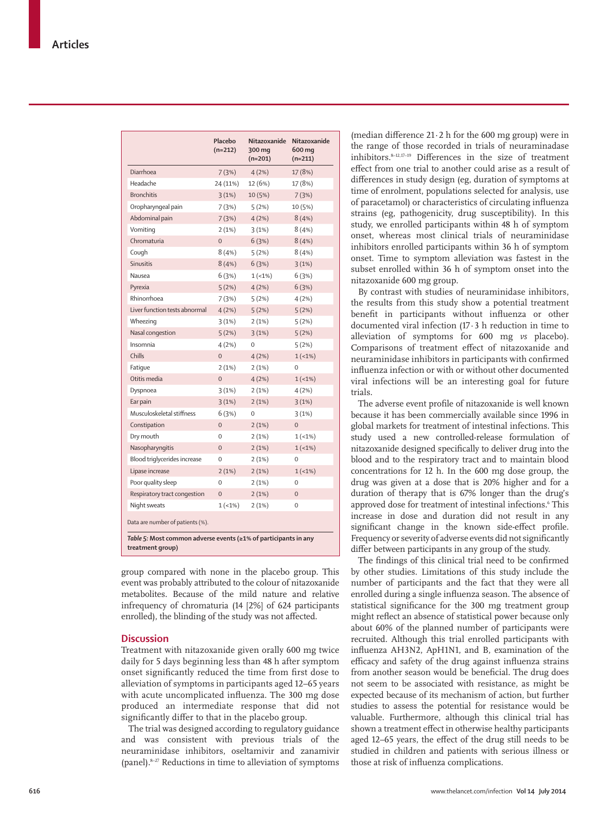|                                                                                             | Placebo<br>$(n=212)$ | Nitazoxanide<br>300 mg<br>$(n=201)$ | Nitazoxanide<br>600 mg<br>$(n=211)$ |  |  |  |
|---------------------------------------------------------------------------------------------|----------------------|-------------------------------------|-------------------------------------|--|--|--|
| Diarrhoea                                                                                   | 7(3%)                | 4(2%)                               | 17 (8%)                             |  |  |  |
| Headache                                                                                    | 24 (11%)             | 12 (6%)                             | 17 (8%)                             |  |  |  |
| <b>Bronchitis</b>                                                                           | 3(1%)                | 10 (5%)                             | 7(3%)                               |  |  |  |
| Oropharyngeal pain                                                                          | 7(3%)                | 5(2%)                               | 10 (5%)                             |  |  |  |
| Abdominal pain                                                                              | 7(3%)                | 4(2%)                               | 8(4%)                               |  |  |  |
| Vomiting                                                                                    | 2(1%)                | 3(1%)                               | 8(4%)                               |  |  |  |
| Chromaturia                                                                                 | $\overline{0}$       | 6(3%)                               | 8(4%)                               |  |  |  |
| Cough                                                                                       | 8(4%)                | 5(2%)                               | 8(4%)                               |  |  |  |
| Sinusitis                                                                                   | 8(4%)                | 6(3%)                               | 3(1%)                               |  |  |  |
| Nausea                                                                                      | 6(3%)                | $1(-1%)$                            | 6(3%)                               |  |  |  |
| Pyrexia                                                                                     | 5(2%)                | 4(2%)                               | 6(3%)                               |  |  |  |
| Rhinorrhoea                                                                                 | 7(3%)                | 5(2%)                               | 4(2%)                               |  |  |  |
| Liver function tests abnormal                                                               | 4(2%)                | 5(2%)                               | 5(2%)                               |  |  |  |
| Wheezing                                                                                    | 3(1%)                | 2(1%)                               | 5(2%)                               |  |  |  |
| Nasal congestion                                                                            | 5(2%)                | 3(1%)                               | 5(2%)                               |  |  |  |
| Insomnia                                                                                    | 4 (2%)               | $\Omega$                            | 5(2%)                               |  |  |  |
| Chills                                                                                      | $\Omega$             | 4(2%)                               | $1(-1%)$                            |  |  |  |
| Fatigue                                                                                     | 2(1%)                | 2(1%)                               | $\Omega$                            |  |  |  |
| Otitis media                                                                                | $\Omega$             | 4(2%)                               | $1(-1%)$                            |  |  |  |
| Dyspnoea                                                                                    | 3(1%)                | 2(1%)                               | 4(2%)                               |  |  |  |
| Ear pain                                                                                    | 3(1%)                | 2(1%)                               | 3(1%)                               |  |  |  |
| Musculoskeletal stiffness                                                                   | 6 (3%)               | $\Omega$                            | 3(1%)                               |  |  |  |
| Constipation                                                                                | $\Omega$             | 2(1%)                               | $\Omega$                            |  |  |  |
| Dry mouth                                                                                   | $\Omega$             | 2(1%)                               | $1(-1%)$                            |  |  |  |
| Nasopharyngitis                                                                             | $\Omega$             | 2(1%)                               | $1(-1%)$                            |  |  |  |
| Blood triglycerides increase                                                                | $\Omega$             | 2(1%)                               | $\Omega$                            |  |  |  |
| Lipase increase                                                                             | 2(1%)                | 2(1%)                               | $1(-1%)$                            |  |  |  |
| Poor quality sleep                                                                          | 0                    | 2(1%)                               | 0                                   |  |  |  |
| Respiratory tract congestion                                                                | $\overline{0}$       | 2(1%)                               | $\overline{0}$                      |  |  |  |
| Night sweats                                                                                | $1(-1%)$             | 2(1%)                               | $\Omega$                            |  |  |  |
| Data are number of patients (%).                                                            |                      |                                     |                                     |  |  |  |
| Table 5: Most common adverse events ( $\geq 1\%$ of participants in any<br>treatment group) |                      |                                     |                                     |  |  |  |

group compared with none in the placebo group. This event was probably attributed to the colour of nitazoxanide metabolites. Because of the mild nature and relative infrequency of chromaturia (14 [2%] of 624 participants enrolled), the blinding of the study was not affected.

#### **Discussion**

Treatment with nitazoxanide given orally 600 mg twice daily for 5 days beginning less than 48 h after symptom onset significantly reduced the time from first dose to alleviation of symptoms in participants aged 12–65 years with acute uncomplicated influenza. The 300 mg dose produced an intermediate response that did not significantly differ to that in the placebo group.

The trial was designed according to regulatory guidance and was consistent with previous trials of the neuraminidase inhibitors, oseltamivir and zanamivir (panel).8–27 Reductions in time to alleviation of symptoms

(median difference  $21 \cdot 2$  h for the 600 mg group) were in the range of those recorded in trials of neuraminadase inhibitors. $8-12,17-19$  Differences in the size of treatment effect from one trial to another could arise as a result of differences in study design (eg, duration of symptoms at time of enrolment, populations selected for analysis, use of paracetamol) or characteristics of circulating influenza strains (eg, pathogenicity, drug susceptibility). In this study, we enrolled participants within 48 h of symptom onset, whereas most clinical trials of neuraminidase inhibitors enrolled participants within 36 h of symptom onset. Time to symptom alleviation was fastest in the subset enrolled within 36 h of symptom onset into the nitazoxanide 600 mg group.

By contrast with studies of neuraminidase inhibitors, the results from this study show a potential treatment benefit in participants without influenza or other documented viral infection (17·3 h reduction in time to alleviation of symptoms for 600 mg *vs* placebo). Comparisons of treatment effect of nitazoxanide and neuraminidase inhibitors in participants with confirmed influenza infection or with or without other documented viral infections will be an interesting goal for future trials.

The adverse event profile of nitazoxanide is well known because it has been commercially available since 1996 in global markets for treatment of intestinal infections. This study used a new controlled-release formulation of nitazoxanide designed specifically to deliver drug into the blood and to the respiratory tract and to maintain blood concentrations for 12 h. In the 600 mg dose group, the drug was given at a dose that is 20% higher and for a duration of therapy that is 67% longer than the drug's approved dose for treatment of intestinal infections.<sup>6</sup> This increase in dose and duration did not result in any significant change in the known side-effect profile. Frequency or severity of adverse events did not significantly differ between participants in any group of the study.

The findings of this clinical trial need to be confirmed by other studies. Limitations of this study include the number of participants and the fact that they were all enrolled during a single influenza season. The absence of statistical significance for the 300 mg treatment group might reflect an absence of statistical power because only about 60% of the planned number of participants were recruited. Although this trial enrolled participants with influenza AH3N2, ApH1N1, and B, examination of the efficacy and safety of the drug against influenza strains from another season would be beneficial. The drug does not seem to be associated with resistance, as might be expected because of its mechanism of action, but further studies to assess the potential for resistance would be valuable. Furthermore, although this clinical trial has shown a treatment effect in otherwise healthy participants aged 12–65 years, the effect of the drug still needs to be studied in children and patients with serious illness or those at risk of influenza complications.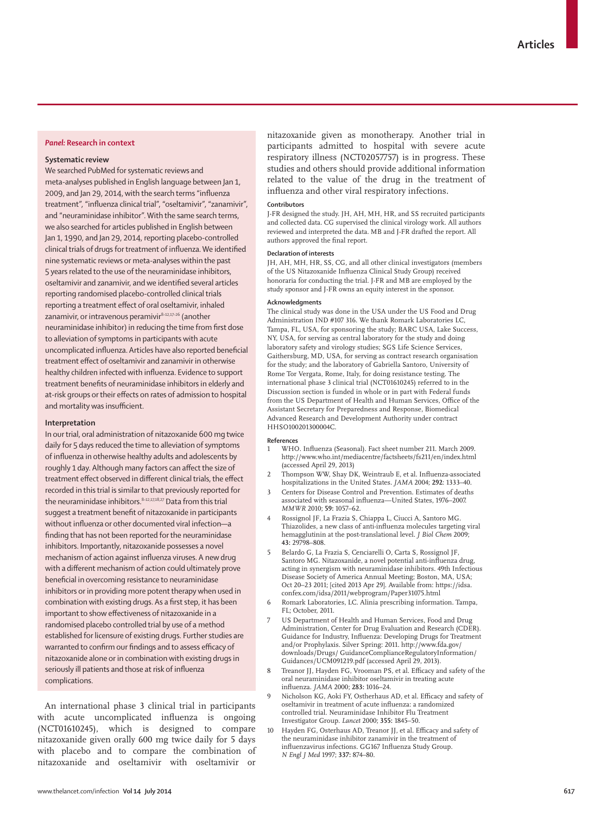#### *Panel:* **Research in context**

#### **Systematic review**

We searched PubMed for systematic reviews and meta-analyses published in English language between Jan 1, 2009, and Jan 29, 2014, with the search terms "influenza treatment", "influenza clinical trial", "oseltamivir", "zanamivir", and "neuraminidase inhibitor". With the same search terms, we also searched for articles published in English between Jan 1, 1990, and Jan 29, 2014, reporting placebo-controlled clinical trials of drugs for treatment of influenza. We identified nine systematic reviews or meta-analyses within the past 5 years related to the use of the neuraminidase inhibitors, oseltamivir and zanamivir, and we identified several articles reporting randomised placebo-controlled clinical trials reporting a treatment effect of oral oseltamivir, inhaled zanamivir, or intravenous peramivir<sup>8-12,17-26</sup> (another neuraminidase inhibitor) in reducing the time from first dose to alleviation of symptoms in participants with acute uncomplicated influenza. Articles have also reported beneficial treatment effect of oseltamivir and zanamivir in otherwise healthy children infected with influenza. Evidence to support treatment benefits of neuraminidase inhibitors in elderly and at-risk groups or their effects on rates of admission to hospital and mortality was insufficient.

#### **Interpretation**

In our trial, oral administration of nitazoxanide 600 mg twice daily for 5 days reduced the time to alleviation of symptoms of influenza in otherwise healthy adults and adolescents by roughly 1 day. Although many factors can affect the size of treatment effect observed in different clinical trials, the effect recorded in this trial is similar to that previously reported for the neuraminidase inhibitors. 8-12,17,18,27 Data from this trial suggest a treatment benefit of nitazoxanide in participants without influenza or other documented viral infection-a finding that has not been reported for the neuraminidase inhibitors. Importantly, nitazoxanide possesses a novel mechanism of action against influenza viruses. A new drug with a different mechanism of action could ultimately prove beneficial in overcoming resistance to neuraminidase inhibitors or in providing more potent therapy when used in combination with existing drugs. As a first step, it has been important to show effectiveness of nitazoxanide in a randomised placebo controlled trial by use of a method established for licensure of existing drugs. Further studies are warranted to confirm our findings and to assess efficacy of nitazoxanide alone or in combination with existing drugs in seriously ill patients and those at risk of influenza complications.

An international phase 3 clinical trial in participants with acute uncomplicated influenza is ongoing (NCT01610245), which is designed to compare nitazoxanide given orally 600 mg twice daily for 5 days with placebo and to compare the combination of nitazoxanide and oseltamivir with oseltamivir or

nitazoxanide given as monotherapy. Another trial in participants admitted to hospital with severe acute respiratory illness (NCT02057757) is in progress. These studies and others should provide additional information related to the value of the drug in the treatment of influenza and other viral respiratory infections.

#### **Contributors**

J-FR designed the study. JH, AH, MH, HR, and SS recruited participants and collected data. CG supervised the clinical virology work. All authors reviewed and interpreted the data. MB and J-FR drafted the report. All authors approved the final report.

#### **Declaration of interests**

JH, AH, MH, HR, SS, CG, and all other clinical investigators (members of the US Nitazoxanide Influenza Clinical Study Group) received honoraria for conducting the trial. J-FR and MB are employed by the study sponsor and J-FR owns an equity interest in the sponsor.

#### **Acknowledgments**

The clinical study was done in the USA under the US Food and Drug Administration IND #107 316. We thank Romark Laboratories LC, Tampa, FL, USA, for sponsoring the study; BARC USA, Lake Success, NY, USA, for serving as central laboratory for the study and doing laboratory safety and virology studies; SGS Life Science Services, Gaithersburg, MD, USA, for serving as contract research organisation for the study; and the laboratory of Gabriella Santoro, University of Rome Tor Vergata, Rome, Italy, for doing resistance testing. The international phase 3 clinical trial (NCT01610245) referred to in the Discussion section is funded in whole or in part with Federal funds from the US Department of Health and Human Services, Office of the Assistant Secretary for Preparedness and Response, Biomedical Advanced Research and Development Authority under contract HHSO100201300004C.

#### **References**

- 1 WHO. Infl uenza (Seasonal). Fact sheet number 211. March 2009. http://www.who.int/mediacentre/factsheets/fs211/en/index.html (accessed April 29, 2013)
- Thompson WW, Shay DK, Weintraub E, et al. Influenza-associated hospitalizations in the United States. *JAMA* 2004; **292**: 1333–40.
- Centers for Disease Control and Prevention. Estimates of deaths associated with seasonal influenza-United States, 1976-2007. *MMWR* 2010; **59:** 1057–62.
- 4 Rossignol JF, La Frazia S, Chiappa L, Ciucci A, Santoro MG. Thiazolides, a new class of anti-influenza molecules targeting viral hemagglutinin at the post-translational level. *J Biol Chem* 2009; **43:** 29798–808.
- 5 Belardo G, La Frazia S, Cenciarelli O, Carta S, Rossignol JF, Santoro MG. Nitazoxanide, a novel potential anti-influenza drug, acting in synergism with neuraminidase inhibitors. 49th Infectious Disease Society of America Annual Meeting; Boston, MA, USA; Oct 20–23 2011; [cited 2013 Apr 29]. Available from: https://idsa. confex.com/idsa/2011/webprogram/Paper31075.html
- Romark Laboratories, LC. Alinia prescribing information. Tampa, FL; October, 2011.
- US Department of Health and Human Services, Food and Drug Administration, Center for Drug Evaluation and Research (CDER). Guidance for Industry, Influenza: Developing Drugs for Treatment and/or Prophylaxis. Silver Spring: 2011. http://www.fda.gov/ downloads/Drugs/ GuidanceComplianceRegulatoryInformation/ Guidances/UCM091219.pdf (accessed April 29, 2013).
- Treanor JJ, Hayden FG, Vrooman PS, et al. Efficacy and safety of the oral neuraminidase inhibitor oseltamivir in treating acute infl uenza. *JAMA* 2000; **283:** 1016–24.
- Nicholson KG, Aoki FY, Ostherhaus AD, et al. Efficacy and safety of oseltamivir in treatment of acute influenza: a randomized controlled trial. Neuraminidase Inhibitor Flu Treatment Investigator Group. *Lancet* 2000; **355:** 1845–50.
- 10 Hayden FG, Osterhaus AD, Treanor JJ, et al. Efficacy and safety of the neuraminidase inhibitor zanamivir in the treatment of influenzavirus infections. GG167 Influenza Study Group. *N Engl J Med* 1997; **337:** 874–80.